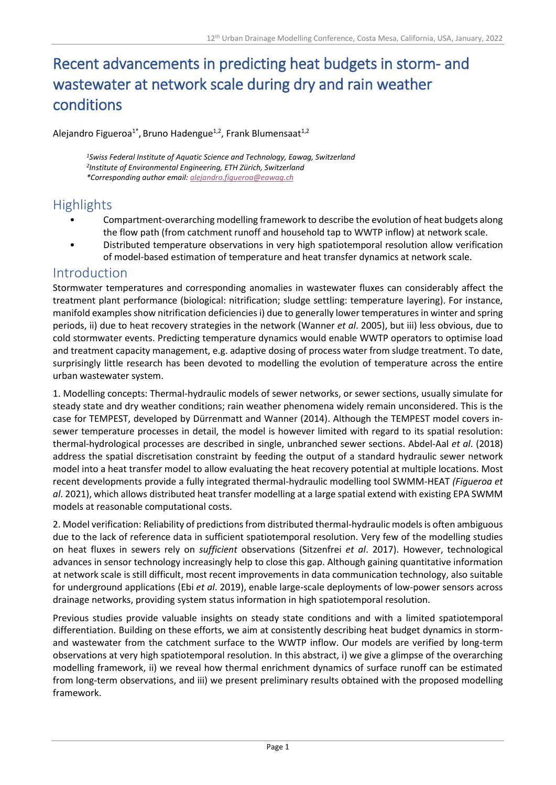# Recent advancements in predicting heat budgets in storm- and wastewater at network scale during dry and rain weather conditions

Alejandro Figueroa<sup>1\*</sup>, Bruno Hadengue<sup>1,2</sup>, Frank Blumensaat<sup>1,2</sup>

*<sup>1</sup>Swiss Federal Institute of Aquatic Science and Technology, Eawag, Switzerland 2 Institute of Environmental Engineering, ETH Zürich, Switzerland \*Corresponding author email[: alejandro.figueroa@eawag.ch](mailto:alejandro.figueroa@eawag.ch)*

### **Highlights**

- Compartment-overarching modelling framework to describe the evolution of heat budgets along the flow path (from catchment runoff and household tap to WWTP inflow) at network scale.
- Distributed temperature observations in very high spatiotemporal resolution allow verification of model-based estimation of temperature and heat transfer dynamics at network scale.

#### Introduction

Stormwater temperatures and corresponding anomalies in wastewater fluxes can considerably affect the treatment plant performance (biological: nitrification; sludge settling: temperature layering). For instance, manifold examples show nitrification deficiencies i) due to generally lower temperatures in winter and spring periods, ii) due to heat recovery strategies in the network (Wanner *et al*. 2005), but iii) less obvious, due to cold stormwater events. Predicting temperature dynamics would enable WWTP operators to optimise load and treatment capacity management, e.g. adaptive dosing of process water from sludge treatment. To date, surprisingly little research has been devoted to modelling the evolution of temperature across the entire urban wastewater system.

1. Modelling concepts: Thermal-hydraulic models of sewer networks, or sewer sections, usually simulate for steady state and dry weather conditions; rain weather phenomena widely remain unconsidered. This is the case for TEMPEST, developed by Dürrenmatt and Wanner (2014). Although the TEMPEST model covers insewer temperature processes in detail, the model is however limited with regard to its spatial resolution: thermal-hydrological processes are described in single, unbranched sewer sections. Abdel-Aal *et al*. (2018) address the spatial discretisation constraint by feeding the output of a standard hydraulic sewer network model into a heat transfer model to allow evaluating the heat recovery potential at multiple locations. Most recent developments provide a fully integrated thermal-hydraulic modelling tool SWMM-HEAT *(Figueroa et al*. 2021), which allows distributed heat transfer modelling at a large spatial extend with existing EPA SWMM models at reasonable computational costs.

2. Model verification: Reliability of predictions from distributed thermal-hydraulic models is often ambiguous due to the lack of reference data in sufficient spatiotemporal resolution. Very few of the modelling studies on heat fluxes in sewers rely on *sufficient* observations (Sitzenfrei *et al*. 2017). However, technological advances in sensor technology increasingly help to close this gap. Although gaining quantitative information at network scale is still difficult, most recent improvements in data communication technology, also suitable for underground applications (Ebi *et al*. 2019), enable large-scale deployments of low-power sensors across drainage networks, providing system status information in high spatiotemporal resolution.

Previous studies provide valuable insights on steady state conditions and with a limited spatiotemporal differentiation. Building on these efforts, we aim at consistently describing heat budget dynamics in stormand wastewater from the catchment surface to the WWTP inflow. Our models are verified by long-term observations at very high spatiotemporal resolution. In this abstract, i) we give a glimpse of the overarching modelling framework, ii) we reveal how thermal enrichment dynamics of surface runoff can be estimated from long-term observations, and iii) we present preliminary results obtained with the proposed modelling framework.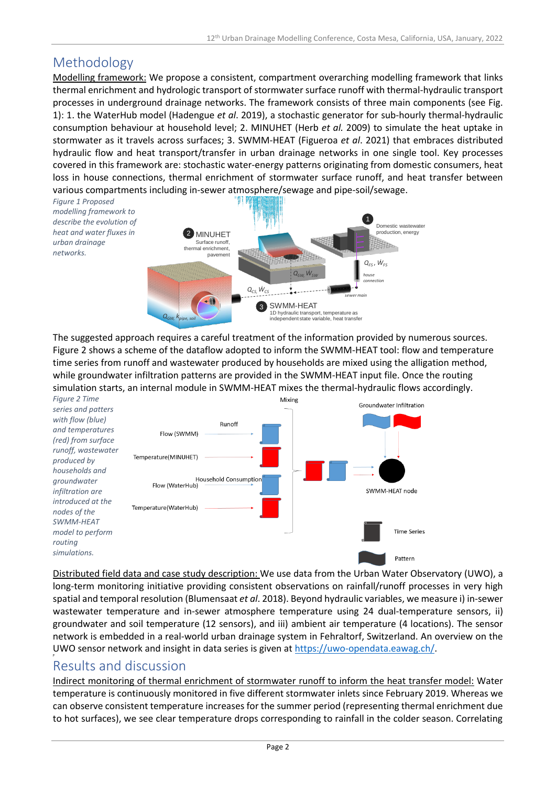## Methodology

*networks.*

Modelling framework: We propose a consistent, compartment overarching modelling framework that links thermal enrichment and hydrologic transport of stormwater surface runoff with thermal-hydraulic transport processes in underground drainage networks. The framework consists of three main components (see Fig. 1): 1. the WaterHub model (Hadengue *et al*. 2019), a stochastic generator for sub-hourly thermal-hydraulic consumption behaviour at household level; 2. MINUHET (Herb *et al.* 2009) to simulate the heat uptake in stormwater as it travels across surfaces; 3. SWMM-HEAT (Figueroa *et al*. 2021) that embraces distributed hydraulic flow and heat transport/transfer in urban drainage networks in one single tool. Key processes covered in this framework are: stochastic water-energy patterns originating from domestic consumers, heat loss in house connections, thermal enrichment of stormwater surface runoff, and heat transfer between various compartments including in-sewer atmosphere/sewage and pipe-soil/sewage.



The suggested approach requires a careful treatment of the information provided by numerous sources. Figure 2 shows a scheme of the dataflow adopted to inform the SWMM-HEAT tool: flow and temperature time series from runoff and wastewater produced by households are mixed using the alligation method, while groundwater infiltration patterns are provided in the SWMM-HEAT input file. Once the routing simulation starts, an internal module in SWMM-HEAT mixes the thermal-hydraulic flows accordingly.



Distributed field data and case study description: We use data from the Urban Water Observatory (UWO), a long-term monitoring initiative providing consistent observations on rainfall/runoff processes in very high spatial and temporal resolution (Blumensaat *et al*. 2018). Beyond hydraulic variables, we measure i) in-sewer wastewater temperature and in-sewer atmosphere temperature using 24 dual-temperature sensors, ii) groundwater and soil temperature (12 sensors), and iii) ambient air temperature (4 locations). The sensor network is embedded in a real-world urban drainage system in Fehraltorf, Switzerland. An overview on the UWO sensor network and insight in data series is given a[t https://uwo-opendata.eawag.ch/.](https://uwo-opendata.eawag.ch/)

### Results and discussion

Indirect monitoring of thermal enrichment of stormwater runoff to inform the heat transfer model: Water temperature is continuously monitored in five different stormwater inlets since February 2019. Whereas we can observe consistent temperature increases for the summer period (representing thermal enrichment due to hot surfaces), we see clear temperature drops corresponding to rainfall in the colder season. Correlating